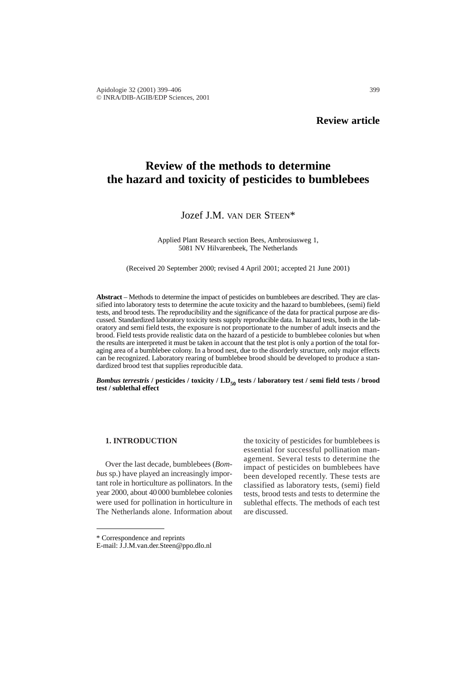# **Review of the methods to determine the hazard and toxicity of pesticides to bumblebees**

## Jozef J.M. VAN DER STEEN\*

Applied Plant Research section Bees, Ambrosiusweg 1, 5081 NV Hilvarenbeek, The Netherlands

(Received 20 September 2000; revised 4 April 2001; accepted 21 June 2001)

**Abstract** – Methods to determine the impact of pesticides on bumblebees are described. They are classified into laboratory tests to determine the acute toxicity and the hazard to bumblebees, (semi) field tests, and brood tests. The reproducibility and the significance of the data for practical purpose are discussed. Standardized laboratory toxicity tests supply reproducible data. In hazard tests, both in the laboratory and semi field tests, the exposure is not proportionate to the number of adult insects and the brood. Field tests provide realistic data on the hazard of a pesticide to bumblebee colonies but when the results are interpreted it must be taken in account that the test plot is only a portion of the total foraging area of a bumblebee colony. In a brood nest, due to the disorderly structure, only major effects can be recognized. Laboratory rearing of bumblebee brood should be developed to produce a standardized brood test that supplies reproducible data.

*Bombus terrestris* / pesticides / toxicity / LD<sub>50</sub> tests / laboratory test / semi field tests / brood **test / sublethal effect**

## **1. INTRODUCTION**

Over the last decade, bumblebees (*Bombus* sp.) have played an increasingly important role in horticulture as pollinators. In the year 2000, about 40 000 bumblebee colonies were used for pollination in horticulture in The Netherlands alone. Information about the toxicity of pesticides for bumblebees is essential for successful pollination management. Several tests to determine the impact of pesticides on bumblebees have been developed recently. These tests are classified as laboratory tests, (semi) field tests, brood tests and tests to determine the sublethal effects. The methods of each test are discussed.

<sup>\*</sup> Correspondence and reprints

E-mail: J.J.M.van.der.Steen@ppo.dlo.nl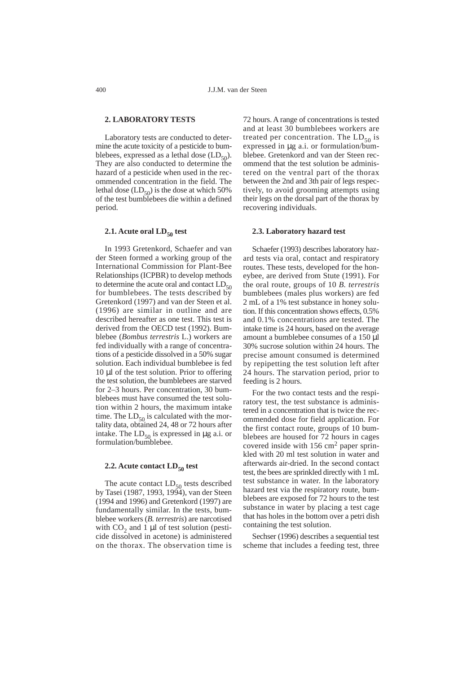## **2. LABORATORY TESTS**

Laboratory tests are conducted to determine the acute toxicity of a pesticide to bumblebees, expressed as a lethal dose  $(LD_{50})$ . They are also conducted to determine the hazard of a pesticide when used in the recommended concentration in the field. The lethal dose  $(LD_{50})$  is the dose at which 50% of the test bumblebees die within a defined period.

## **2.1.** Acute oral  $LD_{50}$  test

In 1993 Gretenkord, Schaefer and van der Steen formed a working group of the International Commission for Plant-Bee Relationships (ICPBR) to develop methods to determine the acute oral and contact  $LD_{50}$ for bumblebees. The tests described by Gretenkord (1997) and van der Steen et al. (1996) are similar in outline and are described hereafter as one test. This test is derived from the OECD test (1992). Bumblebee (*Bombus terrestris* L.) workers are fed individually with a range of concentrations of a pesticide dissolved in a 50% sugar solution. Each individual bumblebee is fed 10 µl of the test solution. Prior to offering the test solution, the bumblebees are starved for 2–3 hours. Per concentration, 30 bumblebees must have consumed the test solution within 2 hours, the maximum intake time. The  $LD_{50}$  is calculated with the mortality data, obtained 24, 48 or 72 hours after intake. The  $LD_{50}$  is expressed in  $\mu$ g a.i. or formulation/bumblebee.

## **2.2.** Acute contact  $LD_{50}$  test

The acute contact  $LD_{50}$  tests described by Tasei (1987, 1993, 1994), van der Steen (1994 and 1996) and Gretenkord (1997) are fundamentally similar. In the tests, bumblebee workers (*B. terrestris*) are narcotised with  $CO<sub>2</sub>$  and 1 µl of test solution (pesticide dissolved in acetone) is administered on the thorax. The observation time is

72 hours. A range of concentrations is tested and at least 30 bumblebees workers are treated per concentration. The  $LD_{50}$  is expressed in µg a.i. or formulation/bumblebee. Gretenkord and van der Steen recommend that the test solution be administered on the ventral part of the thorax between the 2nd and 3th pair of legs respectively, to avoid grooming attempts using their legs on the dorsal part of the thorax by recovering individuals.

#### **2.3. Laboratory hazard test**

Schaefer (1993) describes laboratory hazard tests via oral, contact and respiratory routes. These tests, developed for the honeybee, are derived from Stute (1991). For the oral route, groups of 10 *B. terrestris* bumblebees (males plus workers) are fed 2 mL of a 1% test substance in honey solution. If this concentration shows effects, 0.5% and 0.1% concentrations are tested. The intake time is 24 hours, based on the average amount a bumblebee consumes of a 150 µl 30% sucrose solution within 24 hours. The precise amount consumed is determined by repipetting the test solution left after 24 hours. The starvation period, prior to feeding is 2 hours.

For the two contact tests and the respiratory test, the test substance is administered in a concentration that is twice the recommended dose for field application. For the first contact route, groups of 10 bumblebees are housed for 72 hours in cages covered inside with 156 cm<sup>2</sup> paper sprinkled with 20 ml test solution in water and afterwards air-dried. In the second contact test, the bees are sprinkled directly with 1 mL test substance in water. In the laboratory hazard test via the respiratory route, bumblebees are exposed for 72 hours to the test substance in water by placing a test cage that has holes in the bottom over a petri dish containing the test solution.

Sechser (1996) describes a sequential test scheme that includes a feeding test, three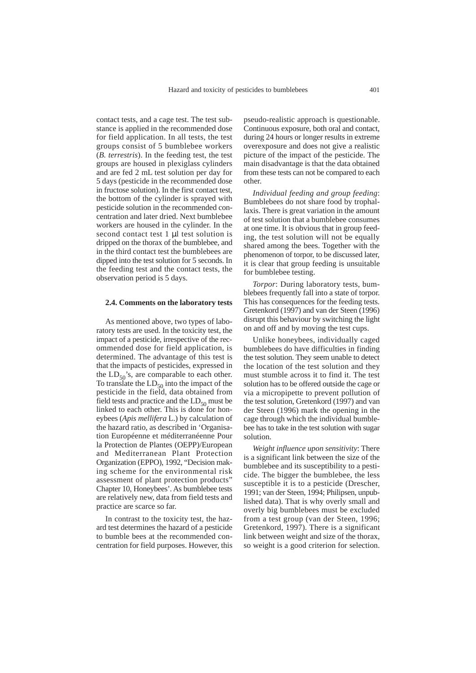contact tests, and a cage test. The test substance is applied in the recommended dose for field application. In all tests, the test groups consist of 5 bumblebee workers (*B. terrestris*). In the feeding test, the test groups are housed in plexiglass cylinders and are fed 2 mL test solution per day for 5 days (pesticide in the recommended dose in fructose solution). In the first contact test, the bottom of the cylinder is sprayed with pesticide solution in the recommended concentration and later dried. Next bumblebee workers are housed in the cylinder. In the second contact test 1 µl test solution is dripped on the thorax of the bumblebee, and in the third contact test the bumblebees are dipped into the test solution for 5 seconds. In the feeding test and the contact tests, the observation period is 5 days.

#### **2.4. Comments on the laboratory tests**

As mentioned above, two types of laboratory tests are used. In the toxicity test, the impact of a pesticide, irrespective of the recommended dose for field application, is determined. The advantage of this test is that the impacts of pesticides, expressed in the  $LD_{50}$ 's, are comparable to each other. To translate the  $LD_{50}$  into the impact of the pesticide in the field, data obtained from field tests and practice and the  $LD_{50}$  must be linked to each other. This is done for honeybees (*Apis mellifera* L.) by calculation of the hazard ratio, as described in 'Organisation Européenne et méditerranéenne Pour la Protection de Plantes (OEPP)/European and Mediterranean Plant Protection Organization (EPPO), 1992, "Decision making scheme for the environmental risk assessment of plant protection products" Chapter 10, Honeybees'. As bumblebee tests are relatively new, data from field tests and practice are scarce so far.

In contrast to the toxicity test, the hazard test determines the hazard of a pesticide to bumble bees at the recommended concentration for field purposes. However, this

pseudo-realistic approach is questionable. Continuous exposure, both oral and contact, during 24 hours or longer results in extreme overexposure and does not give a realistic picture of the impact of the pesticide. The main disadvantage is that the data obtained from these tests can not be compared to each other.

*Individual feeding and group feeding*: Bumblebees do not share food by trophallaxis. There is great variation in the amount of test solution that a bumblebee consumes at one time. It is obvious that in group feeding, the test solution will not be equally shared among the bees. Together with the phenomenon of torpor, to be discussed later, it is clear that group feeding is unsuitable for bumblebee testing.

*Torpor*: During laboratory tests, bumblebees frequently fall into a state of torpor. This has consequences for the feeding tests. Gretenkord (1997) and van der Steen (1996) disrupt this behaviour by switching the light on and off and by moving the test cups.

Unlike honeybees, individually caged bumblebees do have difficulties in finding the test solution. They seem unable to detect the location of the test solution and they must stumble across it to find it. The test solution has to be offered outside the cage or via a micropipette to prevent pollution of the test solution, Gretenkord (1997) and van der Steen (1996) mark the opening in the cage through which the individual bumblebee has to take in the test solution with sugar solution.

*Weight influence upon sensitivity*: There is a significant link between the size of the bumblebee and its susceptibility to a pesticide. The bigger the bumblebee, the less susceptible it is to a pesticide (Drescher, 1991; van der Steen, 1994; Philipsen, unpublished data). That is why overly small and overly big bumblebees must be excluded from a test group (van der Steen, 1996; Gretenkord, 1997). There is a significant link between weight and size of the thorax, so weight is a good criterion for selection.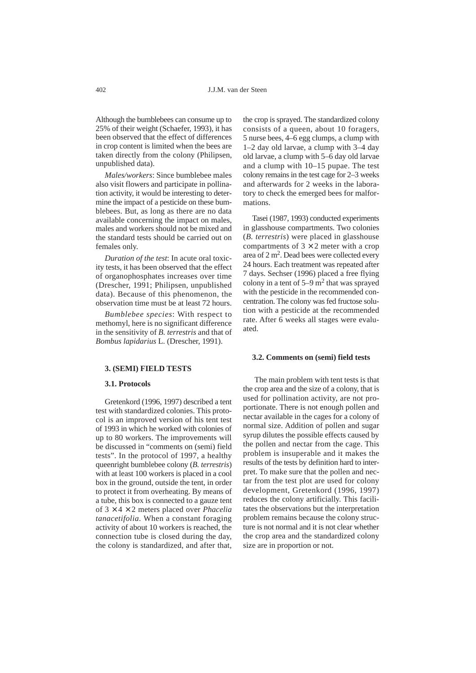Although the bumblebees can consume up to 25% of their weight (Schaefer, 1993), it has been observed that the effect of differences in crop content is limited when the bees are taken directly from the colony (Philipsen, unpublished data).

*Males/workers*: Since bumblebee males also visit flowers and participate in pollination activity, it would be interesting to determine the impact of a pesticide on these bumblebees. But, as long as there are no data available concerning the impact on males, males and workers should not be mixed and the standard tests should be carried out on females only.

*Duration of the test*: In acute oral toxicity tests, it has been observed that the effect of organophosphates increases over time (Drescher, 1991; Philipsen, unpublished data). Because of this phenomenon, the observation time must be at least 72 hours.

*Bumblebee species*: With respect to methomyl, here is no significant difference in the sensitivity of *B. terrestris* and that of *Bombus lapidarius* L. (Drescher, 1991).

#### **3. (SEMI) FIELD TESTS**

#### **3.1. Protocols**

Gretenkord (1996, 1997) described a tent test with standardized colonies. This protocol is an improved version of his tent test of 1993 in which he worked with colonies of up to 80 workers. The improvements will be discussed in "comments on (semi) field tests". In the protocol of 1997, a healthy queenright bumblebee colony (*B. terrestris*) with at least 100 workers is placed in a cool box in the ground, outside the tent, in order to protect it from overheating. By means of a tube, this box is connected to a gauze tent of 3 × 4 × 2 meters placed over *Phacelia tanacetifolia.* When a constant foraging activity of about 10 workers is reached, the connection tube is closed during the day, the colony is standardized, and after that,

the crop is sprayed. The standardized colony consists of a queen, about 10 foragers, 5 nurse bees, 4–6 egg clumps, a clump with 1–2 day old larvae, a clump with 3–4 day old larvae, a clump with 5–6 day old larvae and a clump with 10–15 pupae. The test colony remains in the test cage for 2–3 weeks and afterwards for 2 weeks in the laboratory to check the emerged bees for malformations.

Tasei (1987, 1993) conducted experiments in glasshouse compartments. Two colonies (*B. terrestris*) were placed in glasshouse compartments of  $3 \times 2$  meter with a crop area of 2 m2. Dead bees were collected every 24 hours. Each treatment was repeated after 7 days. Sechser (1996) placed a free flying colony in a tent of  $5-9$  m<sup>2</sup> that was sprayed with the pesticide in the recommended concentration. The colony was fed fructose solution with a pesticide at the recommended rate. After 6 weeks all stages were evaluated.

#### **3.2. Comments on (semi) field tests**

The main problem with tent tests is that the crop area and the size of a colony, that is used for pollination activity, are not proportionate. There is not enough pollen and nectar available in the cages for a colony of normal size. Addition of pollen and sugar syrup dilutes the possible effects caused by the pollen and nectar from the cage. This problem is insuperable and it makes the results of the tests by definition hard to interpret. To make sure that the pollen and nectar from the test plot are used for colony development, Gretenkord (1996, 1997) reduces the colony artificially. This facilitates the observations but the interpretation problem remains because the colony structure is not normal and it is not clear whether the crop area and the standardized colony size are in proportion or not.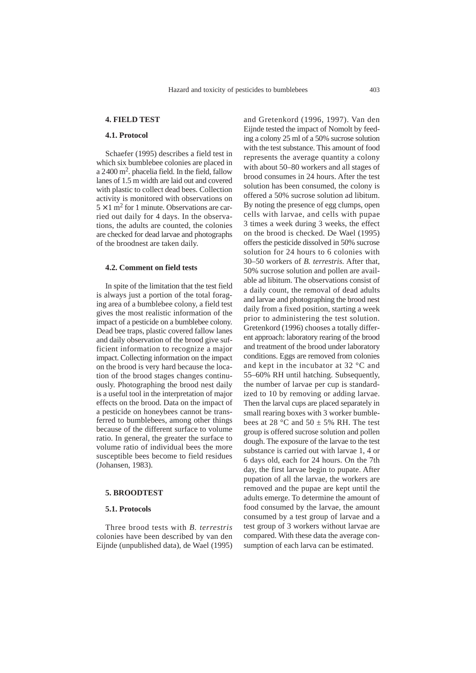## **4. FIELD TEST**

#### **4.1. Protocol**

Schaefer (1995) describes a field test in which six bumblebee colonies are placed in a 2400 m2. phacelia field. In the field, fallow lanes of 1.5 m width are laid out and covered with plastic to collect dead bees. Collection activity is monitored with observations on  $5 \times 1$  m<sup>2</sup> for 1 minute. Observations are carried out daily for 4 days. In the observations, the adults are counted, the colonies are checked for dead larvae and photographs of the broodnest are taken daily.

## **4.2. Comment on field tests**

In spite of the limitation that the test field is always just a portion of the total foraging area of a bumblebee colony, a field test gives the most realistic information of the impact of a pesticide on a bumblebee colony. Dead bee traps, plastic covered fallow lanes and daily observation of the brood give sufficient information to recognize a major impact. Collecting information on the impact on the brood is very hard because the location of the brood stages changes continuously. Photographing the brood nest daily is a useful tool in the interpretation of major effects on the brood. Data on the impact of a pesticide on honeybees cannot be transferred to bumblebees, among other things because of the different surface to volume ratio. In general, the greater the surface to volume ratio of individual bees the more susceptible bees become to field residues (Johansen, 1983).

## **5. BROODTEST**

#### **5.1. Protocols**

Three brood tests with *B. terrestris* colonies have been described by van den Eijnde (unpublished data), de Wael (1995) and Gretenkord (1996, 1997). Van den Eijnde tested the impact of Nomolt by feeding a colony 25 ml of a 50% sucrose solution with the test substance. This amount of food represents the average quantity a colony with about 50–80 workers and all stages of brood consumes in 24 hours. After the test solution has been consumed, the colony is offered a 50% sucrose solution ad libitum. By noting the presence of egg clumps, open cells with larvae, and cells with pupae 3 times a week during 3 weeks, the effect on the brood is checked. De Wael (1995) offers the pesticide dissolved in 50% sucrose solution for 24 hours to 6 colonies with 30–50 workers of *B. terrestris.* After that, 50% sucrose solution and pollen are available ad libitum. The observations consist of a daily count, the removal of dead adults and larvae and photographing the brood nest daily from a fixed position, starting a week prior to administering the test solution. Gretenkord (1996) chooses a totally different approach: laboratory rearing of the brood and treatment of the brood under laboratory conditions. Eggs are removed from colonies and kept in the incubator at 32 °C and 55–60% RH until hatching. Subsequently, the number of larvae per cup is standardized to 10 by removing or adding larvae. Then the larval cups are placed separately in small rearing boxes with 3 worker bumblebees at 28 °C and 50  $\pm$  5% RH. The test group is offered sucrose solution and pollen dough. The exposure of the larvae to the test substance is carried out with larvae 1, 4 or 6 days old, each for 24 hours. On the 7th day, the first larvae begin to pupate. After pupation of all the larvae, the workers are removed and the pupae are kept until the adults emerge. To determine the amount of food consumed by the larvae, the amount consumed by a test group of larvae and a test group of 3 workers without larvae are compared. With these data the average consumption of each larva can be estimated.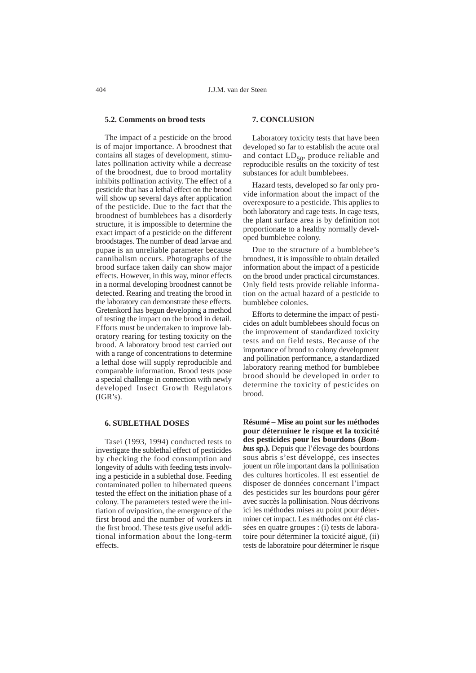## **5.2. Comments on brood tests**

The impact of a pesticide on the brood is of major importance. A broodnest that contains all stages of development, stimulates pollination activity while a decrease of the broodnest, due to brood mortality inhibits pollination activity. The effect of a pesticide that has a lethal effect on the brood will show up several days after application of the pesticide. Due to the fact that the broodnest of bumblebees has a disorderly structure, it is impossible to determine the exact impact of a pesticide on the different broodstages. The number of dead larvae and pupae is an unreliable parameter because cannibalism occurs. Photographs of the brood surface taken daily can show major effects. However, in this way, minor effects in a normal developing broodnest cannot be detected. Rearing and treating the brood in the laboratory can demonstrate these effects. Gretenkord has begun developing a method of testing the impact on the brood in detail. Efforts must be undertaken to improve laboratory rearing for testing toxicity on the brood. A laboratory brood test carried out with a range of concentrations to determine a lethal dose will supply reproducible and comparable information. Brood tests pose a special challenge in connection with newly developed Insect Growth Regulators  $(IGR's)$ .

## **6. SUBLETHAL DOSES**

Tasei (1993, 1994) conducted tests to investigate the sublethal effect of pesticides by checking the food consumption and longevity of adults with feeding tests involving a pesticide in a sublethal dose. Feeding contaminated pollen to hibernated queens tested the effect on the initiation phase of a colony. The parameters tested were the initiation of oviposition, the emergence of the first brood and the number of workers in the first brood. These tests give useful additional information about the long-term effects.

## **7. CONCLUSION**

Laboratory toxicity tests that have been developed so far to establish the acute oral and contact  $LD_{50}$ , produce reliable and reproducible results on the toxicity of test substances for adult bumblebees.

Hazard tests, developed so far only provide information about the impact of the overexposure to a pesticide. This applies to both laboratory and cage tests. In cage tests, the plant surface area is by definition not proportionate to a healthy normally developed bumblebee colony.

Due to the structure of a bumblebee's broodnest, it is impossible to obtain detailed information about the impact of a pesticide on the brood under practical circumstances. Only field tests provide reliable information on the actual hazard of a pesticide to bumblebee colonies.

Efforts to determine the impact of pesticides on adult bumblebees should focus on the improvement of standardized toxicity tests and on field tests. Because of the importance of brood to colony development and pollination performance, a standardized laboratory rearing method for bumblebee brood should be developed in order to determine the toxicity of pesticides on brood.

**Résumé – Mise au point sur les méthodes pour déterminer le risque et la toxicité des pesticides pour les bourdons (***Bombus* **sp.).** Depuis que l'élevage des bourdons sous abris s'est développé, ces insectes jouent un rôle important dans la pollinisation des cultures horticoles. Il est essentiel de disposer de données concernant l'impact des pesticides sur les bourdons pour gérer avec succès la pollinisation. Nous décrivons ici les méthodes mises au point pour déterminer cet impact. Les méthodes ont été classées en quatre groupes : (i) tests de laboratoire pour déterminer la toxicité aiguë, (ii) tests de laboratoire pour déterminer le risque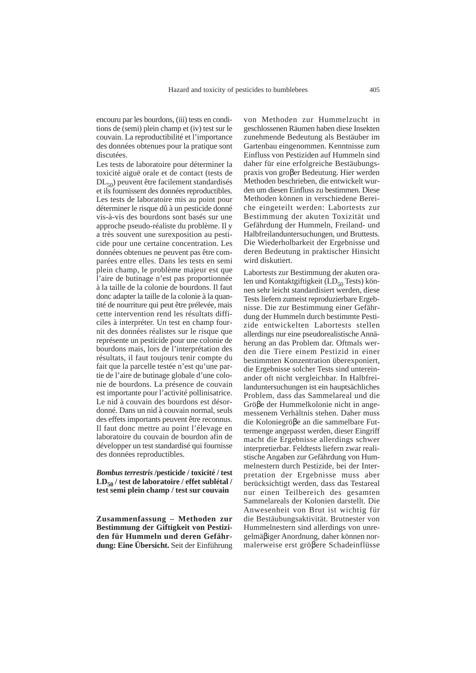encouru par les bourdons, (iii) tests en conditions de (semi) plein champ et (iv) test sur le couvain. La reproductibilité et l'importance des données obtenues pour la pratique sont discutées.

Les tests de laboratoire pour déterminer la toxicité aiguë orale et de contact (tests de DL<sub>50</sub>) peuvent être facilement standardisés et ils fournissent des données reproductibles. Les tests de laboratoire mis au point pour déterminer le risque dû à un pesticide donné vis-à-vis des bourdons sont basés sur une approche pseudo-réaliste du problème. Il y a très souvent une surexposition au pesticide pour une certaine concentration. Les données obtenues ne peuvent pas être comparées entre elles. Dans les tests en semi plein champ, le problème majeur est que l'aire de butinage n'est pas proportionnée à la taille de la colonie de bourdons. Il faut donc adapter la taille de la colonie à la quantité de nourriture qui peut être prélevée, mais cette intervention rend les résultats difficiles à interpréter. Un test en champ fournit des données réalistes sur le risque que représente un pesticide pour une colonie de bourdons mais, lors de l'interprétation des résultats, il faut toujours tenir compte du fait que la parcelle testée n'est qu'une partie de l'aire de butinage globale d'une colonie de bourdons. La présence de couvain est importante pour l'activité pollinisatrice. Le nid à couvain des bourdons est désordonné. Dans un nid à couvain normal, seuls des effets importants peuvent être reconnus. Il faut donc mettre au point l'élevage en laboratoire du couvain de bourdon afin de développer un test standardisé qui fournisse des données reproductibles.

*Bombus terrestris* **/pesticide / toxicité / test LD50 / test de laboratoire / effet sublétal / test semi plein champ / test sur couvain**

**Zusammenfassung – Methoden zur Bestimmung der Giftigkeit von Pestiziden für Hummeln und deren Gefährdung: Eine Übersicht.** Seit der Einführung

von Methoden zur Hummelzucht in geschlossenen Räumen haben diese Insekten zunehmende Bedeutung als Bestäuber im Gartenbau eingenommen. Kenntnisse zum Einfluss von Pestiziden auf Hummeln sind daher für eine erfolgreiche Bestäubungspraxis von groβer Bedeutung. Hier werden Methoden beschrieben, die entwickelt wurden um diesen Einfluss zu bestimmen. Diese Methoden können in verschiedene Bereiche eingeteilt werden: Labortests zur Bestimmung der akuten Toxizität und Gefährdung der Hummeln, Freiland- und Halbfreilanduntersuchungen, und Bruttests. Die Wiederholbarkeit der Ergebnisse und deren Bedeutung in praktischer Hinsicht wird diskutiert.

Labortests zur Bestimmung der akuten oralen und Kontaktgiftigkeit ( $LD_{50}$  Tests) können sehr leicht standardisiert werden, diese Tests liefern zumeist reproduzierbare Ergebnisse. Die zur Bestimmung einer Gefährdung der Hummeln durch bestimmte Pestizide entwickelten Labortests stellen allerdings nur eine pseudorealistische Annäherung an das Problem dar. Oftmals werden die Tiere einem Pestizid in einer bestimmten Konzentration überexponiert, die Ergebnisse solcher Tests sind untereinander oft nicht vergleichbar. In Halbfreilanduntersuchungen ist ein hauptsächliches Problem, dass das Sammelareal und die Gröβe der Hummelkolonie nicht in angemessenem Verhältnis stehen. Daher muss die Koloniegröβe an die sammelbare Futtermenge angepasst werden, dieser Eingriff macht die Ergebnisse allerdings schwer interpretierbar. Feldtests liefern zwar realistische Angaben zur Gefährdung von Hummelnestern durch Pestizide, bei der Interpretation der Ergebnisse muss aber berücksichtigt werden, dass das Testareal nur einen Teilbereich des gesamten Sammelareals der Kolonien darstellt. Die Anwesenheit von Brut ist wichtig für die Bestäubungsaktivität. Brutnester von Hummelnestern sind allerdings von unregelmäβiger Anordnung, daher können normalerweise erst gröβere Schadeinflüsse